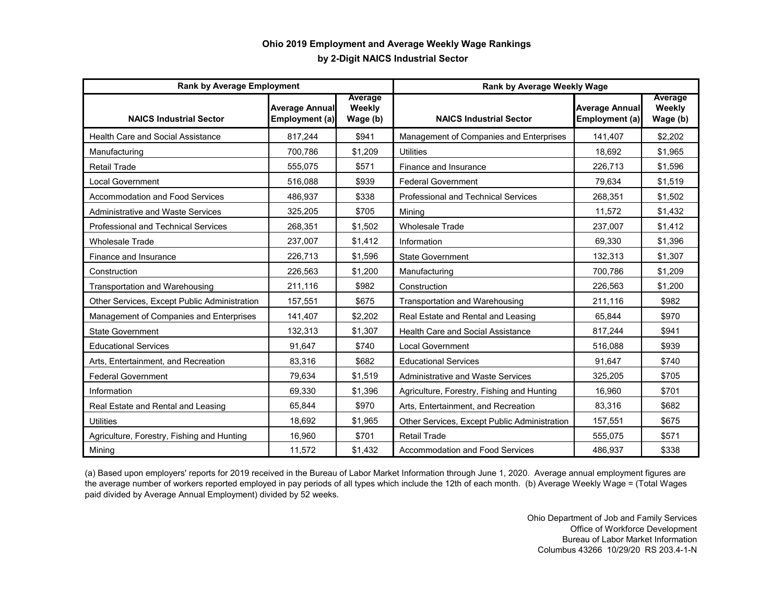## **by 2-Digit NAICS Industrial Sector Ohio 2019 Employment and Average Weekly Wage Rankings**

| <b>Rank by Average Employment</b>            |                                         |                               | Rank by Average Weekly Wage                  |                                         |                               |
|----------------------------------------------|-----------------------------------------|-------------------------------|----------------------------------------------|-----------------------------------------|-------------------------------|
| <b>NAICS Industrial Sector</b>               | <b>Average Annual</b><br>Employment (a) | Average<br>Weekly<br>Wage (b) | <b>NAICS Industrial Sector</b>               | <b>Average Annual</b><br>Employment (a) | Average<br>Weekly<br>Wage (b) |
| <b>Health Care and Social Assistance</b>     | 817,244                                 | \$941                         | Management of Companies and Enterprises      | 141,407                                 | \$2,202                       |
| Manufacturing                                | 700,786                                 | \$1,209                       | <b>Utilities</b>                             | 18.692                                  | \$1,965                       |
| <b>Retail Trade</b>                          | 555,075                                 | \$571                         | Finance and Insurance                        | 226,713                                 | \$1,596                       |
| <b>Local Government</b>                      | 516,088                                 | \$939                         | <b>Federal Government</b>                    | 79,634                                  | \$1,519                       |
| Accommodation and Food Services              | 486,937                                 | \$338                         | Professional and Technical Services          | 268,351                                 | \$1,502                       |
| <b>Administrative and Waste Services</b>     | 325,205                                 | \$705                         | Minina                                       | 11,572                                  | \$1,432                       |
| <b>Professional and Technical Services</b>   | 268,351                                 | \$1,502                       | <b>Wholesale Trade</b>                       | 237,007                                 | \$1,412                       |
| <b>Wholesale Trade</b>                       | 237,007                                 | \$1,412                       | Information                                  | 69,330                                  | \$1,396                       |
| <b>Finance and Insurance</b>                 | 226,713                                 | \$1,596                       | <b>State Government</b>                      | 132,313                                 | \$1,307                       |
| Construction                                 | 226,563                                 | \$1.200                       | Manufacturing                                | 700,786                                 | \$1,209                       |
| <b>Transportation and Warehousing</b>        | 211,116                                 | \$982                         | Construction                                 | 226,563                                 | \$1,200                       |
| Other Services, Except Public Administration | 157,551                                 | \$675                         | <b>Transportation and Warehousing</b>        | 211,116                                 | \$982                         |
| Management of Companies and Enterprises      | 141,407                                 | \$2,202                       | Real Estate and Rental and Leasing           | 65.844                                  | \$970                         |
| <b>State Government</b>                      | 132,313                                 | \$1,307                       | <b>Health Care and Social Assistance</b>     | 817,244                                 | \$941                         |
| <b>Educational Services</b>                  | 91.647                                  | \$740                         | <b>Local Government</b>                      | 516.088                                 | \$939                         |
| Arts, Entertainment, and Recreation          | 83.316                                  | \$682                         | <b>Educational Services</b>                  | 91.647                                  | \$740                         |
| <b>Federal Government</b>                    | 79,634                                  | \$1,519                       | <b>Administrative and Waste Services</b>     | 325,205                                 | \$705                         |
| Information                                  | 69.330                                  | \$1,396                       | Agriculture, Forestry, Fishing and Hunting   | 16,960                                  | \$701                         |
| Real Estate and Rental and Leasing           | 65.844                                  | \$970                         | Arts, Entertainment, and Recreation          | 83,316                                  | \$682                         |
| <b>Utilities</b>                             | 18.692                                  | \$1,965                       | Other Services, Except Public Administration | 157,551                                 | \$675                         |
| Agriculture, Forestry, Fishing and Hunting   | 16,960                                  | \$701                         | <b>Retail Trade</b>                          | 555,075                                 | \$571                         |
| Mining                                       | 11,572                                  | \$1,432                       | <b>Accommodation and Food Services</b>       | 486,937                                 | \$338                         |

(a) Based upon employers' reports for 2019 received in the Bureau of Labor Market Information through June 1, 2020. Average annual employment figures are the average number of workers reported employed in pay periods of all types which include the 12th of each month. (b) Average Weekly Wage = (Total Wages paid divided by Average Annual Employment) divided by 52 weeks.

> Ohio Department of Job and Family Services Office of Workforce Development Bureau of Labor Market Information Columbus 43266 10/29/20 RS 203.4-1-N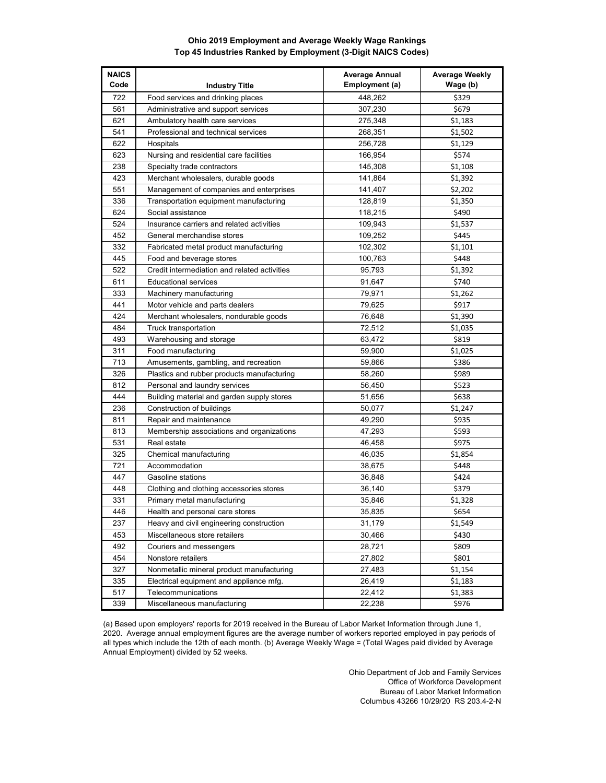## **Ohio 2019 Employment and Average Weekly Wage Rankings Top 45 Industries Ranked by Employment (3-Digit NAICS Codes)**

| <b>NAICS</b><br>Code | <b>Industry Title</b>                        | <b>Average Annual</b><br>Employment (a) | <b>Average Weekly</b><br>Wage (b) |
|----------------------|----------------------------------------------|-----------------------------------------|-----------------------------------|
| 722                  | Food services and drinking places            | 448,262                                 | \$329                             |
| 561                  | Administrative and support services          | 307,230                                 | \$679                             |
| 621                  | Ambulatory health care services              | 275,348                                 | \$1,183                           |
| 541                  | Professional and technical services          | 268,351                                 | \$1,502                           |
| 622                  | Hospitals                                    | 256,728                                 | \$1,129                           |
| 623                  | Nursing and residential care facilities      | 166,954                                 | \$574                             |
| 238                  | Specialty trade contractors                  | 145,308                                 | \$1,108                           |
| 423                  | Merchant wholesalers, durable goods          | 141.864                                 | \$1,392                           |
| 551                  | Management of companies and enterprises      | 141,407                                 | \$2,202                           |
| 336                  | Transportation equipment manufacturing       | 128,819                                 | \$1,350                           |
| 624                  | Social assistance                            | 118,215                                 | \$490                             |
| 524                  | Insurance carriers and related activities    | 109,943                                 | \$1,537                           |
| 452                  | General merchandise stores                   | 109,252                                 | \$445                             |
| 332                  | Fabricated metal product manufacturing       | 102,302                                 | \$1,101                           |
| 445                  | Food and beverage stores                     | 100,763                                 | \$448                             |
| 522                  | Credit intermediation and related activities | 95,793                                  | \$1,392                           |
| 611                  | <b>Educational services</b>                  | 91,647                                  | \$740                             |
| 333                  | Machinery manufacturing                      | 79,971                                  | \$1,262                           |
| 441                  | Motor vehicle and parts dealers              | 79,625                                  | \$917                             |
| 424                  | Merchant wholesalers, nondurable goods       | 76,648                                  | \$1,390                           |
| 484                  | Truck transportation                         | 72,512                                  | \$1,035                           |
| 493                  | Warehousing and storage                      | 63,472                                  | \$819                             |
| 311                  | Food manufacturing                           | 59,900                                  | \$1,025                           |
| 713                  | Amusements, gambling, and recreation         | 59,866                                  | \$386                             |
| 326                  | Plastics and rubber products manufacturing   | 58,260                                  | \$989                             |
| 812                  | Personal and laundry services                | 56,450                                  | \$523                             |
| 444                  | Building material and garden supply stores   | 51,656                                  | \$638                             |
| 236                  | Construction of buildings                    | 50,077                                  | \$1,247                           |
| 811                  | Repair and maintenance                       | 49,290                                  | \$935                             |
| 813                  | Membership associations and organizations    | 47,293                                  | \$593                             |
| 531                  | Real estate                                  | 46,458                                  | \$975                             |
| 325                  | Chemical manufacturing                       | 46,035                                  | \$1,854                           |
| 721                  | Accommodation                                | 38,675                                  | \$448                             |
| 447                  | Gasoline stations                            | 36,848                                  | \$424                             |
| 448                  | Clothing and clothing accessories stores     | 36,140                                  | \$379                             |
| 331                  | Primary metal manufacturing                  | 35,846                                  | \$1,328                           |
| 446                  | Health and personal care stores              | 35,835                                  | \$654                             |
| 237                  | Heavy and civil engineering construction     | 31,179                                  | \$1,549                           |
| 453                  | Miscellaneous store retailers                | 30,466                                  | \$430                             |
| 492                  | Couriers and messengers                      | 28,721                                  | \$809                             |
| 454                  | Nonstore retailers                           | 27,802                                  | \$801                             |
| 327                  | Nonmetallic mineral product manufacturing    | 27,483                                  | \$1,154                           |
| 335                  | Electrical equipment and appliance mfg.      | 26,419                                  | \$1,183                           |
| 517                  | Telecommunications                           | 22,412                                  | \$1,383                           |
| 339                  | Miscellaneous manufacturing                  | 22,238                                  | \$976                             |

(a) Based upon employers' reports for 2019 received in the Bureau of Labor Market Information through June 1, 2020. Average annual employment figures are the average number of workers reported employed in pay periods of all types which include the 12th of each month. (b) Average Weekly Wage = (Total Wages paid divided by Average Annual Employment) divided by 52 weeks.

> Ohio Department of Job and Family Services Office of Workforce Development Bureau of Labor Market Information Columbus 43266 10/29/20 RS 203.4-2-N